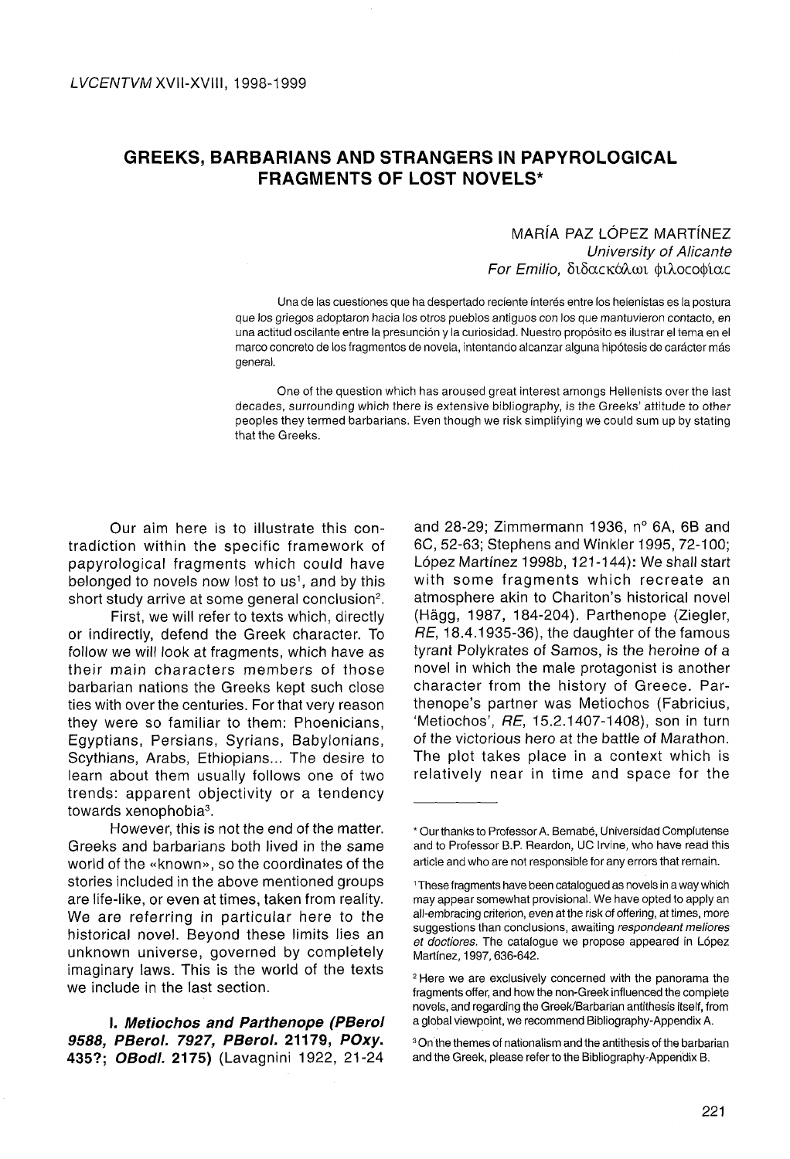# **GREEKS, BARBARIANS AND STRANGERS IN PAPYROLOGICAL FRAGMENTS OF LOST NOVELS\***

## MARÍA PAZ LÓPEZ MARTÍNEZ University of Alicante For Emilio, διδαςκάλωι φιλοςοφίας

Una de las cuestiones que ha despertado reciente interés entre los helenistas es la postura que los griegos adoptaron hacia los otros pueblos antiguos con los que mantuvieron contacto, en una actitud oscilante entre la presunción y la curiosidad. Nuestro propósito es ilustrar el tema en el marco concreto de los fragmentos de novela, intentando alcanzar alguna hipótesis de carácter más general.

One of the question which has aroused great interest amongs Hellenists over the last decades, surrounding which there is extensive bibliography, is the Greeks' attitude to other peoples they termed barbarians. Even though we risk simplifying we could sum up by stating that the Greeks.

Our aim here is to illustrate this contradiction within the specific framework of papyrological fragments which could have belonged to novels now lost to us<sup>1</sup>, and by this short study arrive at some general conclusion<sup>2</sup>.

First, we will refer to texts which, directly or indirectly, defend the Greek character. To follow we will look at fragments, which have as their main characters members of those barbarian nations the Greeks kept such close ties with over the centuries. For that very reason they were so familiar to them: Phoenicians, Egyptians, Persians, Syrians, Babylonians, Scythians, Arabs, Ethiopians... The desire to learn about them usually follows one of two trends: apparent objectivity or a tendency towards xenophobia<sup>3</sup>.

However, this is not the end of the matter. Greeks and barbarians both lived in the same world of the «known», so the coordinates of the stories included in the above mentioned groups are life-like, or even at times, taken from reality. We are referring in particular here to the historical novel. Beyond these limits lies an unknown universe, governed by completely imaginary laws. This is the world of the texts we include in the last section.

**I. Metiochos and Parthenope (PBerol 9588, PBerol. 7927, PBerol. 21179, POxy. 435?; OBodl. 2175)** (Lavagnini 1922, 21-24 and 28-29; Zimmermann 1936, n° 6A, 6B and 6C, 52-63; Stephens and Winkler 1995, 72-100; López Martínez 1998b, 121 -144): We shall start with some fragments which recreate an atmosphere akin to Chariton's historical novel (Hágg, 1987, 184-204). Parthenope (Ziegler, RE, 18.4.1935-36), the daughter of the famous tyrant Polykrates of Samos, is the heroine of a novel in which the male protagonist is another character from the history of Greece. Parthenope's partner was Metiochos (Fabricius, 'Metiochos', RE, 15.2.1407-1408), son in turn of the victorious hero at the battle of Marathón. The plot takes place in a context which is relatively near in time and space for the

<sup>\*</sup> Our thanks to Professor A. Bernabé, Universidad Complutense and to Professor B.P. Reardon, UC Irvine, who have read this article and who are not responsible for any errors that remain.

<sup>&</sup>lt;sup>1</sup> These fragments have been catalogued as novels in a way which may appear somewhat provisional. We have opted to apply an all-embracing criterion, even at the risk of offering, at times, more suggestions than conclusions, awaiting respondeant meliores et doctiores, The catalogue we propose appeared in López Martínez, 1997,636-642.

<sup>2</sup> Here we are exclusively concerned with the panorama the fragments offer, and how the non-Greek influenced the complete novéis, and regarding the Greek/Barbarian antithesis itself, from a global viewpoint, we recommend Bibliography-Appendix A.

<sup>3</sup> On the themes of nationaiism and the antithesis of the barbarían and the Greek, please refer to the Bibliography-Appendix B.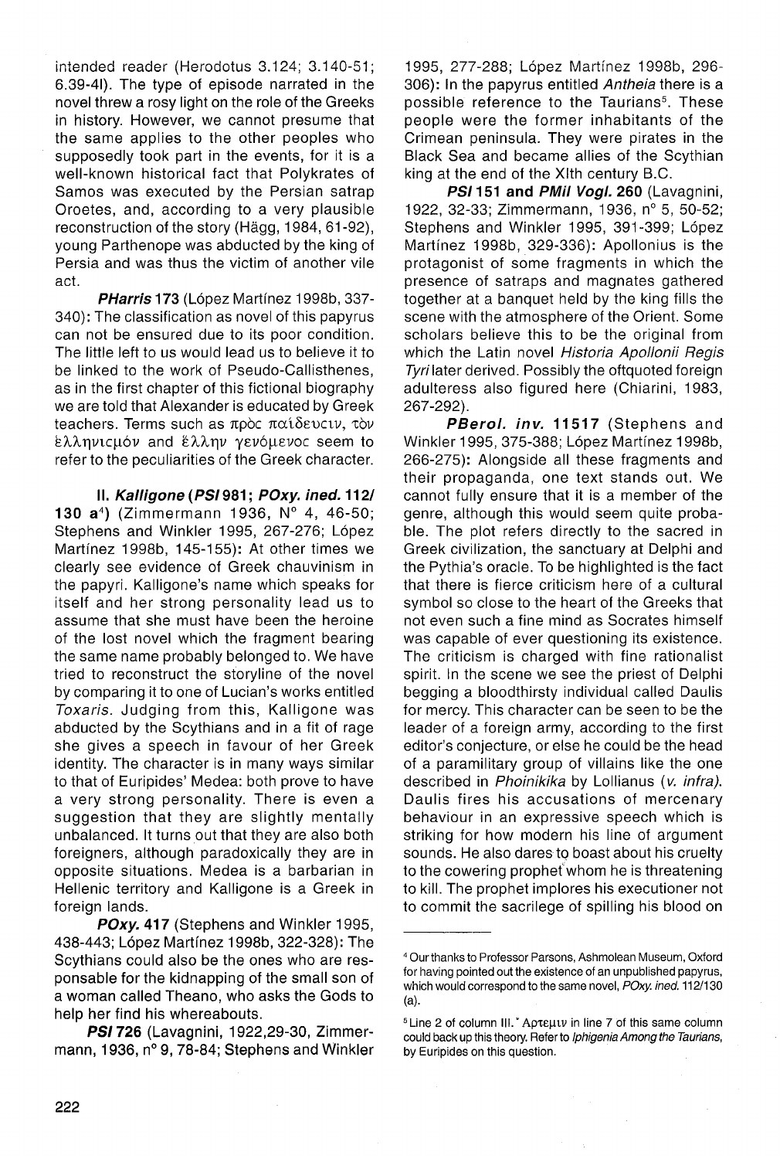intended reader (Herodotus 3.124; 3.140-51; 6.39-4I). The type of episode narrated in the novel threw a rosy light on the role of the Greeks in history. However, we cannot presume that the same applies to the other peoples who supposedly took part in the events, for it is a well-known historical fact that Polykrates of Samos was executed by the Persian satrap Oroetes, and, according to a very plausible reconstruction of the story (Hágg, 1984, 61 -92), young Parthenope was abducted by the king of Persia and was thus the victim of another vile act.

**PHarris 173** (López Martfnez 1998b, 337- 340): The classification as novel of this papyrus can not be ensured due to its poor condition. The little left to us would lead us to believe it to be linked to the work of Pseudo-Callisthenes, as in the first chapter of this fictional biography we are told that Alexander is educated by Greek teachers. Terms such as πρός παίδευςιν, τον ελληνιςμόν and έλλην γενόμενος seem to refer to the peculiarities of the Greek character.

**II. Kalligone(PSI981; POxy. ined. 112/ 130** a<sup>4</sup> ) (Zimmermann 1936, N° 4, 46-50; Stephens and Winkler 1995, 267-276; López Martínez 1998b, 145-155): At other times we clearly see evidence of Greek chauvinism in the papyri. Kalligone's name which speaks for itself and her strong personality lead us to assume that she must have been the heroine of the lost novel which the fragment bearing the same name probably belonged to. We have tried to reconstruct the storyline of the novel by comparing it to one of Lucian's works entitled Toxaris. Judging from this, Kalligone was abducted by the Scythians and in a fit of rage she gives a speech in favour of her Greek identity. The character is in many ways similar to that of Eurípides' Medea: both prove to have a very strong personality. There is even a suggestion that they are slightly mentally unbalanced. It turns out that they are also both foreigners, although paradoxically they are in opposite situations. Medea is a barbarían in Hellenic territory and Kalligone is a Greek in foreign lands.

**POxy. 417** (Stephens and Winkler 1995, 438-443; López Martínez 1998b, 322-328): The Scythians could also be the ones who are responsable for the kidnapping of the small son of a woman called Theano, who asks the Gods to help her find his whereabouts.

**PSI 726** (Lavagnini, 1922,29-30, Zimmermann, 1936, n° 9, 78-84; Stephens and Winkler

1995, 277-288; López Martínez 1998b, 296- 306): In the papyrus entitled Antheia there is a possible reference to the Taurians<sup>5</sup>. These people were the former inhabitants of the Crímean península. They were pírates in the Black Sea and became allies of the Scythian king at the end of the Xlth century B.C.

**PS/151 and PMil Vogl. 260** (Lavagnini, 1922, 32-33; Zimmermann, 1936, n° 5, 50-52; Stephens and Winkler 1995, 391-399; López Martínez 1998b, 329-336): Apollonius is the protagonist of some fragments in which the presence of satraps and magnates gathered together at a banquet held by the king filis the scene with the atmosphere of the Orient. Some scholars believe this to be the original from which the Latin novel Historia Apollonii Regis Tyrilater derived. Possibly the oftquoted foreign adulteress also figured here (Chiarini, 1983, 267-292).

**PBerol. inv. 11517** (Stephens and Winkler 1995, 375-388; López Martínez 1998b, 266-275): Alongside all these fragments and their propaganda, one text stands out. We cannot fully ensure that it is a member of the genre, although this would seem quite probable. The plot refers directly to the sacred in Greek civilization, the sanctuary at Delphi and the Pythia's oracle. To be highlighted is the fact that there is fierce criticism here of a cultural symbol so close to the heart of the Greeks that not even such a fine mind as Socrates himself was capable of ever questioning its existence. The criticism is charged with fine rationalist spirit. In the scene we see the priest of Delphi begging a bloodthirsty individual called Daulis for mercy. This character can be seen to be the leader of a foreign army, according to the first editor's conjecture, or else he could be the head of a paramilitary group of villains like the one described in Phoinikika by Lollianus (v. infra). Daulis fires his accusations of mercenary behaviour in an expressive speech which is striking for how modern his line of argument sounds. He also dares to boast about his cruelty to the cowering prophef whom he is threatening to kill. The prophet implores his executioner not to commit the sacrilege of spilling his blood on

<sup>4</sup> Ourthanks to Professor Parsons, Ashmolean Museum, Oxford for having pointed out the existence of an unpublished papyrus, which would correspond to the same novel, POxy. ined. 112/130 (a).

<sup>&</sup>lt;sup>5</sup> Line 2 of column III. <sup>\*</sup> Apteut in line 7 of this same column could back up this theory. Refer to Iphigenia Among the Taurians, by Eurípides on this question.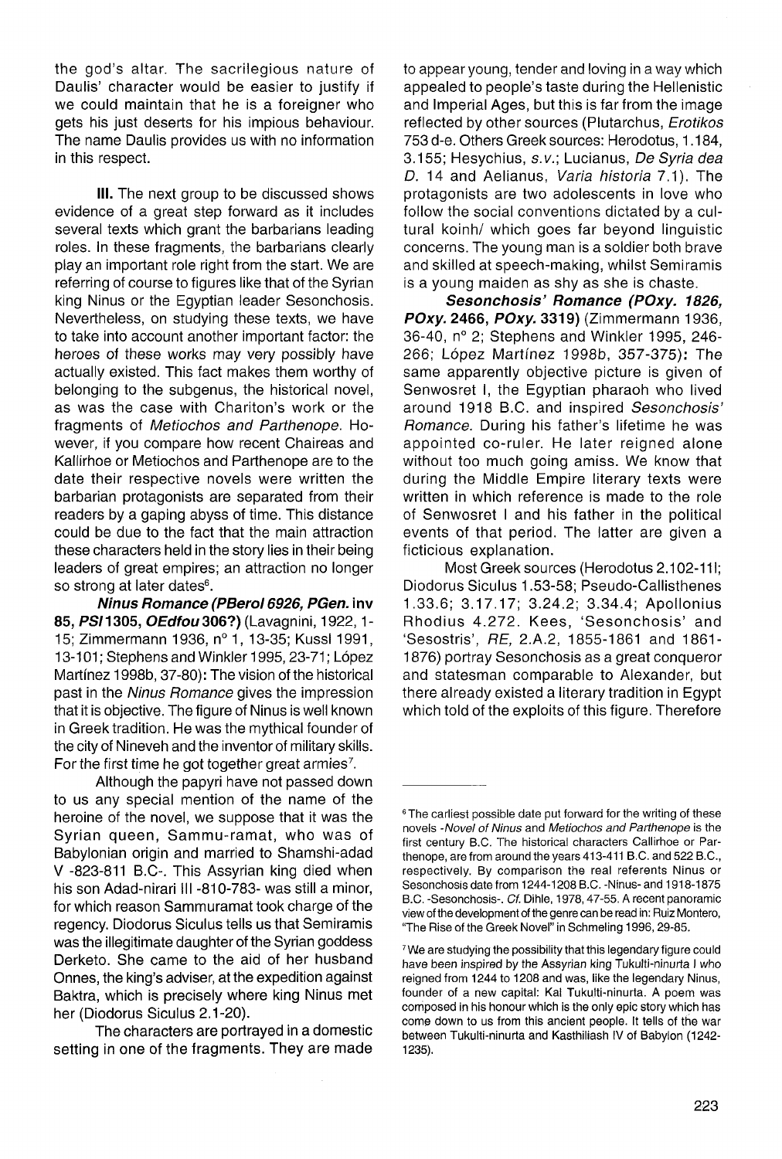the god's altar. The sacrilegious nature of Daulis' character would be easier to justify if we could maintain that he is a foreigner who gets his just deserts for his impious behaviour. The name Daulis provides us with no information in this respect.

**III.** The next group to be discussed shows evidence of a great step forward as it includes several texts which grant the barbarians leading roles. In these fragments, the barbarians clearly play an important role right from the start. We are referring of course to figures like that of the Syrian king Ninus or the Egyptian leader Sesonchosis. Nevertheless, on studying these texts, we have to take into account another important factor: the heroes of these works may very possibly have actually existed. This fact makes them worthy of belonging to the subgenus, the historical novel, as was the case with Chariton's work or the fragments of Metiochos and Parthenope. However, if you compare how recent Chaireas and Kallirhoe or Metiochos and Parthenope are to the date their respective novels were written the barbarían protagonists are separated from their readers by a gaping abyss of time. This distance could be due to the fact that the main attraction these characters held in the story lies in their being leaders of great empires; an attraction no longer so strong at later dates<sup>6</sup>.

**Ninus Romance (PBerol 6926, PGen. inv 85, PS/1305, OEdfou 306?)** (Lavagnini, 1922,1- 15; Zimmermann 1936, n° 1, 13-35; Kussl 1991, 13-101; Stephens and Winkler 1995,23-71; López Martínez 1998b, 37-80): The vision of the historical past in the Ninus Romance gives the impression that it is objective. The figure of Ninus is well known in Greek tradition. He was the mythical founder of the city of Nineveh and the inventor of military skills. For the first time he got together great armies<sup>7</sup>.

Although the papyri have not passed down to us any special mention of the name of the heroine of the novel, we suppose that it was the Syrian queen, Sammu-ramat, who was of Babylonian origin and married to Shamshi-adad V -823-811 B.C-. This Assyrian king died when his son Adad-nirari III -810-783- was still a minor, for which reason Sammuramat took charge of the regency. Diodorus Siculus tells us that Semiramis was the illegitimate daughter of the Syrian goddess Derketo. She came to the aid of her husband Onnes, the king's adviser, at the expedition against Baktra, which is precisely where king Ninus met her (Diodorus Siculus 2.1-20).

The characters are portrayed in a domestic setting in one of the fragments. They are made

to appear young, tender and loving in a way which appealed to people's taste during the Hellenistic and Imperial Ages, but this is far from the image reflected by other sources (Plutarchus, Erotikos 753 d-e. Others Greek sources: Herodotus, 1.184, 3.155; Hesychius, s.v.; Lucianus, De Syria dea D. 14 and Aelianus, Varia historia 7.1). The protagonists are two adolescents in love who follow the social conventions dictated by a cultural koinh/ which goes far beyond linguistic concerns. The young man is a soldier both brave and skilled at speech-making, whilst Semiramis is a young maiden as shy as she is chaste.

**Sesonchosis' Romance (POxy. 1826, POxy. 2466, POxy. 3319)** (Zimmermann 1936, 36-40, n° 2; Stephens and Winkler 1995, 246- 266; López Martínez 1998b, 357-375): The same apparently objective picture is given of Senwosret I, the Egyptian pharaoh who lived around 1918 B.C. and inspired Sesonchosis' Romance. During his father's lifetime he was appointed co-ruler. He later reigned alone without too much going amiss. We know that during the Middle Empire literary texts were written in which reference is made to the role of Senwosret I and his father in the political events of that period. The latter are given a ficticious explanation.

Most Greek sources (Herodotus 2.102-111; Diodorus Siculus 1.53-58; Pseudo-Callisthenes 1.33.6; 3.17.17; 3.24.2; 3.34.4; Apollonius Rhodius 4.272. Kees, 'Sesonchosis' and 'Sesostris', RE, 2.A.2, 1855-1861 and 1861- 1876) portray Sesonchosis as a great conqueror and statesman comparable to Alexander, but there already existed a literary tradition in Egypt which told of the exploits of this figure. Therefore

<sup>&</sup>lt;sup>6</sup> The carliest possible date put forward for the writing of these novels -Novel of Ninus and Metiochos and Parthenope is the first century B.C. The historical characters Callirhoe or Parthenope, are from around the years 413-411 B.C. and 522 B.C, respectively. By comparison the real referents Ninus or Sesonchosis date from 1244-1208 B.C. -Ninus- and 1918-1875 B.C. -Sesonchosis-. Cf. Dihle, 1978,47-55. A recent panoramic view of the development of the genre can be read in: Ruiz Montero, "The Rise of the Greek Novel" in Schmeling 1996, 29-85.

<sup>&</sup>lt;sup>7</sup>We are studying the possibility that this legendary figure could have been inspired by the Assyrian king Tukulti-ninurta I who reigned from 1244 to 1208 and was, like the legendary Ninus, founder of a new capital: Kal Tukulti-ninurta. A poem was composed in his honour which is the only epic story which has come down to us from this ancient people. It tells of the war between Tukulti-ninurta and Kasthiliash IV of Babylon (1242- 1235).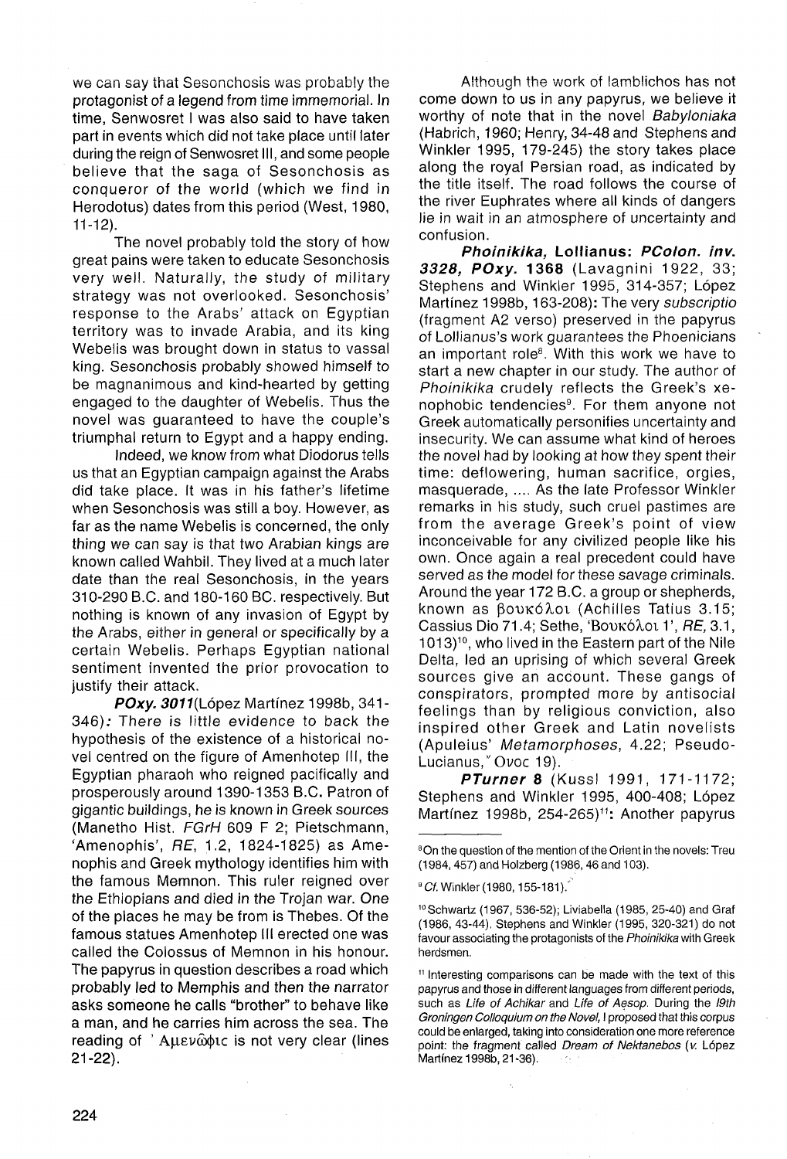we can say that Sesonchosis was probably the protagonist of a legend from time immemorial. In time, Senwosret I was also said to have taken part in events which did not take place until later during the reign of Senwosret III, and some people believe that the saga of Sesonchosis as conqueror of the world (which we find in Herodotus) dates from this period (West, 1980, 11-12).

The novel probably told the story of how great pains were taken to educate Sesonchosis very well. Naturally, the study of military strategy was not overlooked. Sesonchosis' response to the Arabs' attack on Egyptian territory was to invade Arabia, and its king Webelis was brought down in status to vassal king. Sesonchosis probably showed himself to be magnanimous and kind-hearted by getting engaged to the daughter of Webelis. Thus the novel was guaranteed to have the couple's triumphal return to Egypt and a happy ending.

Indeed, we know from what Diodorus tells us that an Egyptian campaign against the Arabs did take place. It was in his father's lifetime when Sesonchosis was still a boy. However, as far as the name Webelis is concerned, the only thing we can say is that two Arabian kings are known called Wahbil. They lived at a much later date than the real Sesonchosis, in the years 310-290 B.C. and 180-160 BC. respectively. But nothing is known of any invasion of Egypt by the Arabs, either in general or specifically by a certain Webelis. Perhaps Egyptian national sentiment invented the prior provocation to justify their attack.

**POxy. 3011**(López Martínez 1998b, 341-346); There is little evidence to back the hypothesis of the existence of a historical novel centred on the figure of Amenhotep III, the Egyptian pharaoh who reigned pacifically and prosperously around 1390-1353 B.C. Patron of gigantic buildings, he is known in Greek sources (Manetho Hist. FGrH 609 F 2; Pietschmann, 'Amenophis', RE, 1.2, 1824-1825) as Amenophis and Greek mythology identifies him with the famous Memnon. This ruler reigned over the Ethiopians and died in the Trojan war. One of the places he may be from is Thebes. Of the famous statues Amenhotep III erected one was called the Colossus of Memnon in his honour. The papyrus in question describes a road which probably led to Memphis and then the narrator asks someone he calis "brother" to behave like a man, and he carries him across the sea. The reading of  $'$  Auev $\hat{\omega}$  automobilient very clear (lines 21-22).

Although the work of lamblichos has not come down to us in any papyrus, we believe it worthy of note that in the novel Babyloniaka (Habrich, 1960; Henry, 34-48 and Stephens and Winkler 1995, 179-245) the story takes place along the royal Persian road, as indicated by the title itself. The road follows the course of the river Euphrates where all kinds of dangers lie in wait in an atmosphere of uncertainty and confusión.

**Phoinikika, Lollianus: PColon. inv. 3328, POxy. 1368** (Lavagnini 1922, 33; Stephens and Winkler 1995, 314-357; López Martínez 1998b, 163-208): The very subscriptio (fragment A2 verso) preserved in the papyrus of Lollianus's work guarantees the Phoenicians an important role<sup>8</sup>. With this work we have to start a new chapter in our study. The author of Phoinikika crudely reflects the Greek's xenophobic tendencies<sup>9</sup>. For them anyone not Greek automatically personifies uncertainty and insecurity. We can assume what kind of héroes the novel had by looking at how they spent their time: deflowering, human sacrifice, orgies, masquerade, .... As the late Professor Winkler remarks in his study, such cruel pastimes are from the average Greek's point of view inconceivable for any civilized people like his own. Once again a real precedent could have served as the model for these savage criminals. Around the year 172 B.C. a group or shepherds, known as βουκόλοι (Achilles Tatius 3.15; Cassius Dio 71.4; Sethe, 'Boukó $\lambda$ ou 1', RE, 3.1, 1013)<sup>10</sup>, who lived in the Eastern part of the Nile Delta, led an uprising of which several Greek sources give an account. These gangs of conspirators, prompted more by antisocial feelings than by religious conviction, also inspired other Greek and Latin novelists (Apuleius' Metamorphoses, 4.22; Pseudo-Lucianus,"Ovoc 19).

**PTurner 8** (Kussl 1991, 171-1172; Stephens and Winkler 1995, 400-408; López Martínez 1998b, 254-265)<sup>11</sup>: Another papyrus

<sup>&</sup>lt;sup>8</sup>On the question of the mention of the Orient in the novels: Treu (1984,457) and Holzberg (1986, 46 and 103).

<sup>&</sup>lt;sup>9</sup> *Cf.* Winkler (1980, 155-181).  $^{\circ}$ 

<sup>10</sup>Schwartz (1967, 536-52); Liviabella (1985, 25-40) and Graf (1986, 43-44). Stephens and Winkler (1995, 320-321) do not favour associating the protagonists of the Phoinikika with Greek herdsmen.

<sup>11</sup> Interesting comparisons can be made with the text of this papyrus and those in different languages from different periods, such as Life of Achikar and Life of Aesop. During the I9th Groningen Colloquium on the Novel, I proposed that this corpus could be enlarged, taking into consideration one more reference point: the fragment called Dream of Nektanebos (v. López Martínez 1998b, 21-36).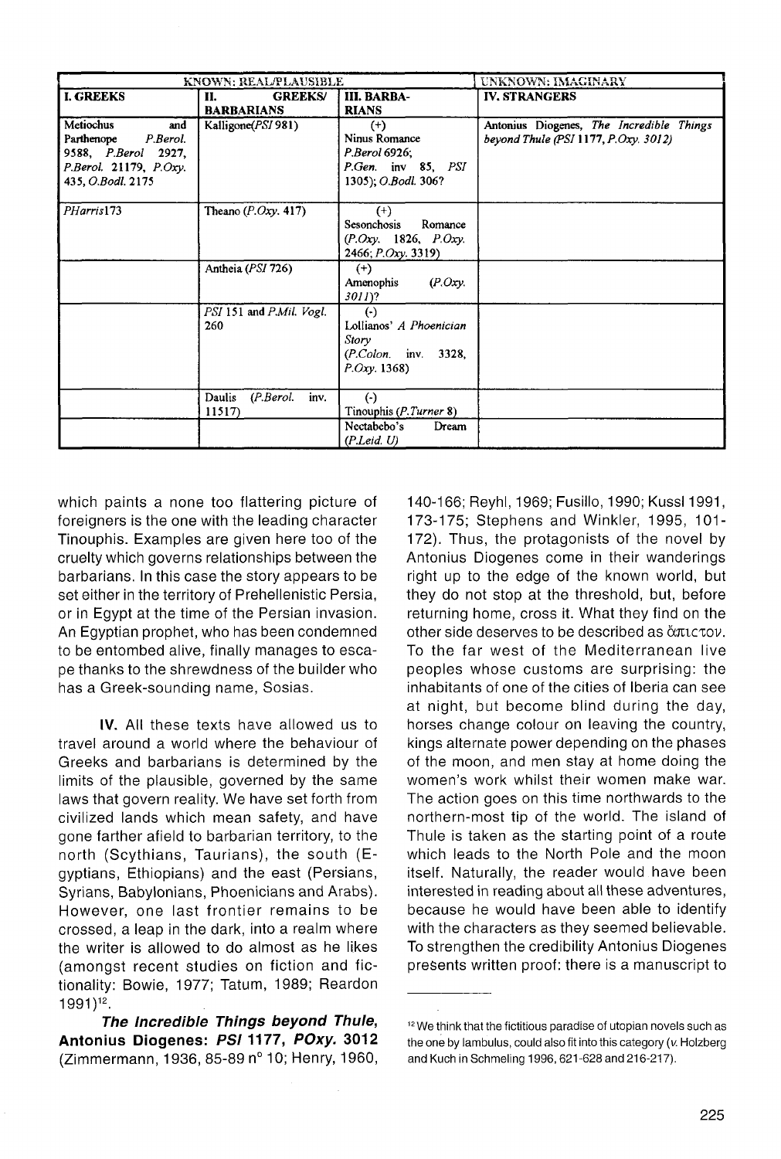| KNOWN: REAL/PLAUSIBLE                                                                                                  |                                           |                                                                                             | UNKNOWN: IMAGINARY                                                               |
|------------------------------------------------------------------------------------------------------------------------|-------------------------------------------|---------------------------------------------------------------------------------------------|----------------------------------------------------------------------------------|
| <b>I. GREEKS</b>                                                                                                       | <b>GREEKS/</b><br>Н.<br><b>BARBARIANS</b> | <b>III. BARBA-</b><br><b>RIANS</b>                                                          | <b>IV. STRANGERS</b>                                                             |
| Metiochus<br>and<br>Parthenope<br>P.Berol.<br>9588, P.Berol 2927,<br>$P. Berol.$ 21179, $P. Oxy.$<br>435, O.Bodl. 2175 | Kalligone(PSI 981)                        | $^{(+)}$<br>Ninus Romance<br>P.Berol 6926;<br>P.Gen. inv 85, PSI<br>1305); O.Bodl. 306?     | Antonius Diogenes, The Incredible Things<br>beyond Thule (PSI 1177, P.Oxy. 3012) |
| PHarris173                                                                                                             | Theano $(P. Oxy. 417)$                    | $^{(+)}$<br>Sesonchosis<br>Romance<br>(P.Oxy. 1826, P.Oxy.<br>2466; P.Oxy. 3319)            |                                                                                  |
|                                                                                                                        | Antheia (PSI 726)                         | $^{(+)}$<br>$(P. Oxy)$ .<br>Amenophis<br>$3011$ ?                                           |                                                                                  |
|                                                                                                                        | PSI 151 and P.Mil. Vogl.<br>260           | $(\cdot)$<br>Lollianos' A Phoenician<br>Story<br>$(P. Colon.$ inv. 3328,<br>$P. Oxy.$ 1368) |                                                                                  |
|                                                                                                                        | Daulis<br>(P. Berol.<br>inv.<br>11517     | $(\cdot)$<br>Tinouphis (P.Turner 8)                                                         |                                                                                  |
|                                                                                                                        |                                           | Nectabebo's<br>Dream<br>(P. Leid. U)                                                        |                                                                                  |

which paints a none too flattering picture of foreigners is the one with the leading character Tinouphis. Examples are given here too of the cruelty which governs relationships between the barbarians. In this case the story appears to be set either in the territory of Prehellenistic Persia, or in Egypt at the time of the Persian invasion. An Egyptian prophet, who has been condemned to be entombed alive, finally manages to escape thanks to the shrewdness of the builder who has a Greek-sounding name, Sosias.

IV. All these texts have allowed us to travel around a world where the behaviour of Greeks and barbarians is determined by the limits of the plausible, governed by the same laws that govern reality. We have set forth from civilized lands which mean safety, and have gone farther afield to barbarían territory, to the north (Scythians, Taurians), the south (Egyptians, Ethiopians) and the east (Persians, Syrians, Babylonians, Phoenicians and Arabs). However, one last frontier remains to be crossed, a leap in the dark, into a realm where the writer is allowed to do almost as he likes (amongst recent studies on fiction and fictionality: Bowie, 1977; Tatum, 1989; Reardon  $1991)^{12}$ .

**The Incredible Things beyond Thule, Antonius Diogenes: PS11177, POxy. 3012**  (Zimmermann, 1936, 85-89 n° 10; Henry, 1960,

140-166; Reyhl, 1969; Fusillo, 1990; Kussl 1991, 173-175; Stephens and Winkler, 1995, 101- 172). Thus, the protagonists of the novel by Antonius Diogenes come in their wanderings right up to the edge of the known world, but they do not stop at the threshold, but, before returning home, cross it. What they find on the other side deserves to be described as ἄπιςτον. To the far west of the Mediterranean live peoples whose customs are surprising; the inhabitants of one of the cities of Iberia can see at night, but become blind during the day, horses change colour on leaving the country, kings alternate power depending on the phases of the moon, and men stay at home doing the women's work whilst their women make war. The action goes on this time northwards to the northern-most tip of the world. The island of Thule is taken as the starting point of a route which leads to the North Pole and the moon itself. Naturally, the reader would have been interested in reading about all these adventures, because he would have been able to identify with the characters as they seemed believable. To strengthen the credibility Antonius Diogenes presents written proof: there is a manuscript to

<sup>&</sup>lt;sup>12</sup> We think that the fictitious paradise of utopian novels such as the one by lambulus, could also fit into this category (v. Holzberg and Kuch in Schmeling 1996, 621-628 and 216-217).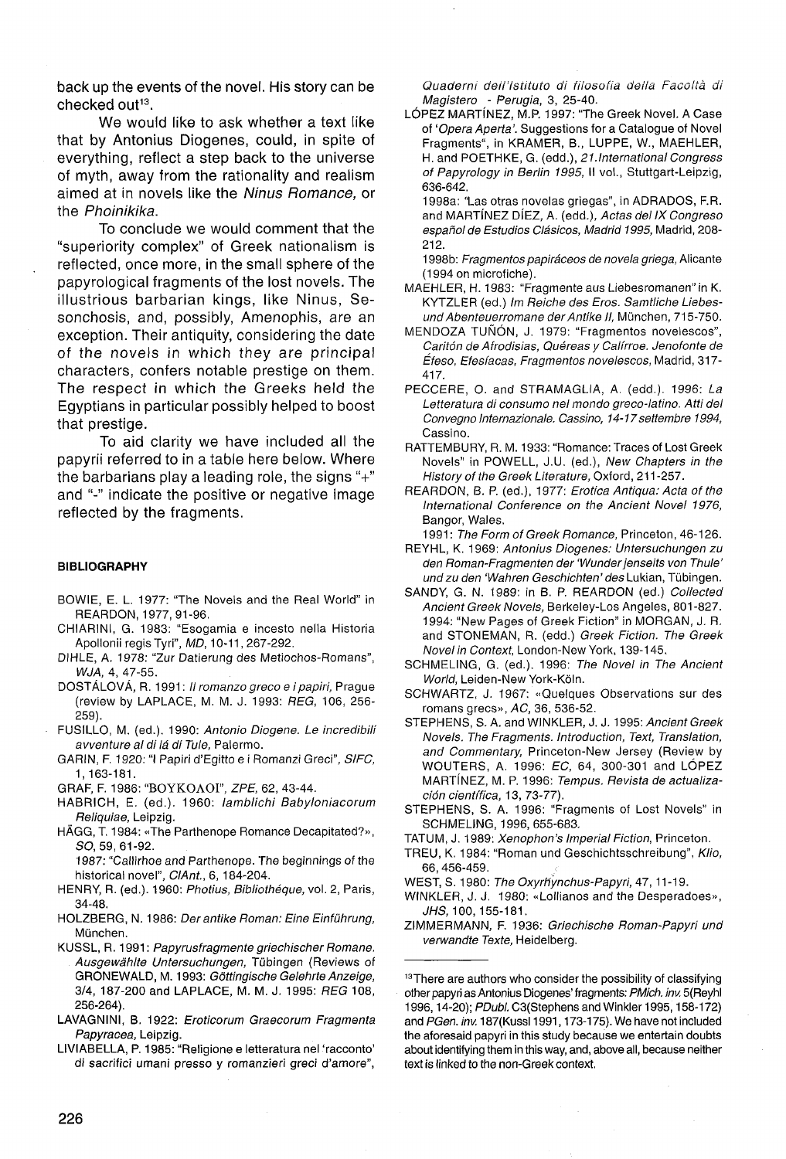back up the events of the novel. His story can be checked out<sup>13</sup>.

We would like to ask whether a text like that by Antonius Diogenes, could, in spite of everything, reflect a step back to the universe of myth, away from the rationality and realism aimed at in novels like the Ninus Romance, or the Phoinikika.

To conclude we would comment that the "superiority complex" of Greek nationalism is reflected, once more, in the small sphere of the papyrological fragments of the lost novels. The illustrious barbarían kings, like Ninus, Sesonchosis, and, possibly, Amenophis, are an exception. Their antiquity, considering the date of the novels in which they are principal characters, confers notable prestige on them. The respect in which the Greeks held the Egyptians in particular possibly helped to boost that prestige.

To aid clarity we have included all the papyrii referred to in a table here below. Where the barbarians play a leading role, the signs "+" and "-" indícate the positive or negative image reflected by the fragments.

### **BIBLIOGRAPHY**

- BOWIE, E. L. 1977: "The Novels and the Real World" in REARDON, 1977, 91-96.
- CHIARINI, G. 1983: "Esogamia e incesto nella Historia Apollonii regís Tyri", MD, 10-11, 267-292.
- DIHLE, A. 1978: "Zur Datierung des Metiochos-Romans", WJA, 4, 47-55.
- DOSTÁLOVÁ, R. 1991: *Il romanzo greco e i papiri*, Prague (review by LAPLACE, M. M. J. 1993: REG, 106, 256- 259).
- FUSILLO, M. (ed.). 1990: Antonio Diogene. Le incredibili avventure al di lá di Tule, Palermo.
- GARIN, F. 1920: "I Papiri d'Egitto e i Romanzi Greci", SIFC, 1,163-181.
- GRAF, F. 1986: "BOYKOAOI", ZPE, 62, 43-44.
- HABRICH, E. (ed.). 1960: lamblichi Babyloniacorum Reliquiae, Leipzig.
- HÁGG, T. 1984: «The Parthenope Romance Decapitated?», *SO,* 59,61-92.

1987: "Callirhoe and Parthenope. The beginnings of the historical novel", CIAnt., 6, 184-204.

- HENRY, R. (ed.). 1960: Photius, Bibliothéque, vol. 2, Paris, 34-48.
- HOLZBERG, N. 1986: Der antike Roman: Eine Einführung, München.
- KUSSL, R. 1991: Papyrusfragmente griechischer Romane. Ausgewáhlte Untersuchungen, Tübingen (Reviews of GRONEWALD, M. 1993: Góttingische Gelehrte Anzeige, 3/4, 187-200 and LAPLACE, M. M. J. 1995: REG 108, 256-264).
- LAVAGNINI, B. 1922: Eroticorum Graecorum Fragmenta Papyracea, Leipzig.

LIVIABELLA, P. 1985: "Religione e letteratura nel 'racconto' di sacrifici umani presso y romanzieri greci d'amore",

Quaderni dell'lstituio di fiiosofia deila Facoltá di Magistero - Perugia, 3, 25-40.

LÓPEZ MARTfNEZ, M.P. 1997: "The Greek Novel. A Case of 'Opera Aperta'. Suggestions for a Catalogue of Novel Fragments", in KRAMER, B., LUPPE, W., MAEHLER, H. and POETHKE, G. (edd.), 21.International Congress of Papyrology in Berlin 1995, II vol., Stuttgart-Leipzig, 636-642.

1998a: "Las otras novelas griegas", in ADRADOS, F.R. and MARTÍNEZ DÍEZ, A. (edd.), Actas del IX Congreso español de Estudios Clásicos, Madrid 1995, Madrid, 208- 212.

1998b: Fragmentos papiráceos de novela griega, Alicante (1994 on microfiche).

- MAEHLER, H. 1983: "Fragmente aus Liebesromanen" in K. KYTZLER (ed.) Im Reiche des Eros. Samtliche Liebesund Abenteuerromane derAntike II, München, 715-750.
- MENDOZA TUÑÓN, J. 1979: "Fragmentos novelescos", Cantón de Afrodisias, Quéreas y Calírroe. Jenofonte de Éfeso, Efesíacas, Fragmentos novelescos, Madrid, 317- 417.
- PECCERE, O. and STRAMAGLIA, A. (edd.). 1996: La Letteratura di consumo nel mondo greco-latino. Atti del Convegno Internazionale. Cassino, 14-17 settembre 1994. Cassino.
- RATTEMBURY, R. M. 1933: "Romance: Traces of Lost Greek Novels" in POWELL, J.U. (ed.), New Chapters in the History of the Greek Literature, Oxford, 211 -257.
- REARDON, B. P. (ed.), 1977: Erótica Antigua: Acta of the International Conference on the Ancient Novel 1976, Bangor, Wales.

1991: The Form of Greek Romance, Princeton, 46-126.

- REYHL, K. 1969: Antonius Diogenes: Untersuchungen zu den Román-Fragmenten der 'Wunder jenseits von Thule' und zu den 'Wahren Geschichten' des Lukian, Tübingen.
- SANDY, G. N. 1989: in B. P. REARDON (ed.) Collected Ancient Greek Novels, Berkeley-Los Angeles, 801-827. 1994: "New Pages of Greek Fiction" in MORGAN, J. R. and STONEMAN, R. (edd.) Greek Fiction. The Greek Novel in Context, London-New York, 139-145.
- SCHMELING, G. (ed.). 1996: The Novel in The Ancient World, Leiden-New York-Kóln.
- SCHWARTZ, J. 1967: «Quelques Observations sur des romans grecs», AC, 36, 536-52.
- STEPHENS, S. A. and WINKLER, J. J. 1995: Ancient Greek Novels. The Fragments. Introduction, Text, Translation, and Commentary, Princeton-New Jersey (Review by WOUTERS, A. 1996: EC, 64, 300-301 and LÓPEZ MARTÍNEZ, M. P. 1996: Tempus. Revista de actualización científica, 13, 73-77).
- STEPHENS, S. A. 1996: "Fragments of Lost Novels" in SCHMELING, 1996, 655-683.
- TATUM, J. 1989: Xenophon's Imperial Fiction, Princeton.
- TREU, K. 1984: "Roman und Geschichtsschreibung", Klio, 66, 456-459.
- WEST, S. 1980: The Oxyrhynchus-Papyri, 47, 11-19.
- WINKLER, J. J. 1980: «Lollianos and the Desperadoes», JHS, 100,155-181.
- ZIMMERMANN, F. 1936: Griechische Roman-Papyri und verwandte Texte, Heidelberg.

<sup>&</sup>lt;sup>13</sup>There are authors who consider the possibility of classifying other papyri as Antonius Diogenes' fragments: PMich. inv. 5(Reyhl 1996, 14-20); PDubl. C3(Stephens and Winkler 1995, 158-172) and PGen. inv. 187(Kussl 1991, 173-175). We have not included the aforesaid papyri in this study because we entertain doubts about identifying them in this way, and, above all, because neither text is linked to the non-Greek context.